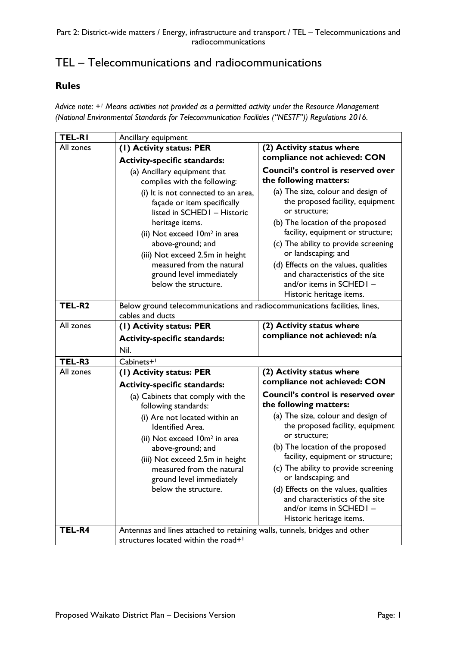## TEL – Telecommunications and radiocommunications

## **Rules**

*Advice note: +1 Means activities not provided as a permitted activity under the Resource Management (National Environmental Standards for Telecommunication Facilities ("NESTF")) Regulations 2016.* 

| <b>TEL-RI</b> | Ancillary equipment                                                                                                                                                                                                                                                                                        |                                                                                                                                                                                                                                                                                                                                                                                                                                             |
|---------------|------------------------------------------------------------------------------------------------------------------------------------------------------------------------------------------------------------------------------------------------------------------------------------------------------------|---------------------------------------------------------------------------------------------------------------------------------------------------------------------------------------------------------------------------------------------------------------------------------------------------------------------------------------------------------------------------------------------------------------------------------------------|
| All zones     | (1) Activity status: PER                                                                                                                                                                                                                                                                                   | (2) Activity status where                                                                                                                                                                                                                                                                                                                                                                                                                   |
|               | <b>Activity-specific standards:</b>                                                                                                                                                                                                                                                                        | compliance not achieved: CON                                                                                                                                                                                                                                                                                                                                                                                                                |
|               | (a) Ancillary equipment that<br>complies with the following:                                                                                                                                                                                                                                               | Council's control is reserved over<br>the following matters:                                                                                                                                                                                                                                                                                                                                                                                |
|               | (i) It is not connected to an area,<br>façade or item specifically<br>listed in SCHED1 - Historic<br>heritage items.<br>(ii) Not exceed 10m <sup>2</sup> in area<br>above-ground; and<br>(iii) Not exceed 2.5m in height<br>measured from the natural<br>ground level immediately<br>below the structure.  | (a) The size, colour and design of<br>the proposed facility, equipment<br>or structure;<br>(b) The location of the proposed<br>facility, equipment or structure;<br>(c) The ability to provide screening<br>or landscaping; and<br>(d) Effects on the values, qualities<br>and characteristics of the site<br>and/or items in SCHED1 -<br>Historic heritage items.                                                                          |
| TEL-R2        | Below ground telecommunications and radiocommunications facilities, lines,<br>cables and ducts                                                                                                                                                                                                             |                                                                                                                                                                                                                                                                                                                                                                                                                                             |
| All zones     | (1) Activity status: PER<br><b>Activity-specific standards:</b><br>Nil.                                                                                                                                                                                                                                    | (2) Activity status where<br>compliance not achieved: n/a                                                                                                                                                                                                                                                                                                                                                                                   |
| TEL-R3        | Cabinets+1                                                                                                                                                                                                                                                                                                 |                                                                                                                                                                                                                                                                                                                                                                                                                                             |
| All zones     | (I) Activity status: PER                                                                                                                                                                                                                                                                                   | (2) Activity status where                                                                                                                                                                                                                                                                                                                                                                                                                   |
|               | <b>Activity-specific standards:</b>                                                                                                                                                                                                                                                                        | compliance not achieved: CON                                                                                                                                                                                                                                                                                                                                                                                                                |
|               | (a) Cabinets that comply with the<br>following standards:<br>(i) Are not located within an<br><b>Identified Area.</b><br>(ii) Not exceed 10m <sup>2</sup> in area<br>above-ground; and<br>(iii) Not exceed 2.5m in height<br>measured from the natural<br>ground level immediately<br>below the structure. | <b>Council's control is reserved over</b><br>the following matters:<br>(a) The size, colour and design of<br>the proposed facility, equipment<br>or structure;<br>(b) The location of the proposed<br>facility, equipment or structure;<br>(c) The ability to provide screening<br>or landscaping; and<br>(d) Effects on the values, qualities<br>and characteristics of the site<br>and/or items in $SCHEDI -$<br>Historic heritage items. |
| TEL-R4        | Antennas and lines attached to retaining walls, tunnels, bridges and other<br>structures located within the road+1                                                                                                                                                                                         |                                                                                                                                                                                                                                                                                                                                                                                                                                             |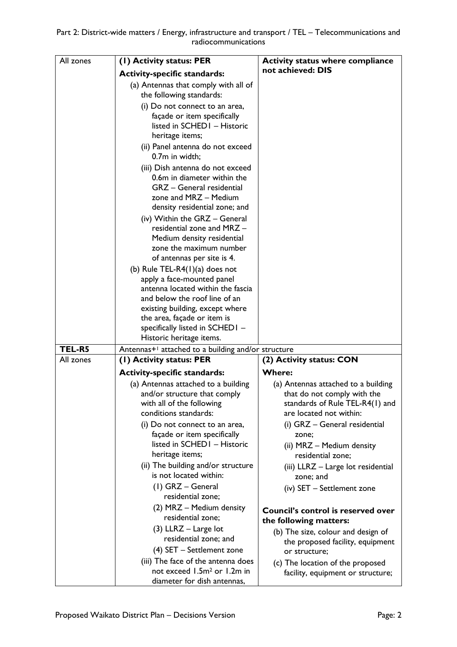| All zones | (I) Activity status: PER                                                                                                                                                                | <b>Activity status where compliance</b>                               |
|-----------|-----------------------------------------------------------------------------------------------------------------------------------------------------------------------------------------|-----------------------------------------------------------------------|
|           | <b>Activity-specific standards:</b>                                                                                                                                                     | not achieved: DIS                                                     |
|           | (a) Antennas that comply with all of<br>the following standards:                                                                                                                        |                                                                       |
|           | (i) Do not connect to an area,<br>façade or item specifically<br>listed in SCHED1 - Historic<br>heritage items;                                                                         |                                                                       |
|           | (ii) Panel antenna do not exceed<br>0.7m in width;                                                                                                                                      |                                                                       |
|           | (iii) Dish antenna do not exceed<br>0.6m in diameter within the<br>GRZ - General residential<br>zone and MRZ - Medium<br>density residential zone; and<br>(iv) Within the GRZ - General |                                                                       |
|           | residential zone and MRZ -<br>Medium density residential                                                                                                                                |                                                                       |
|           | zone the maximum number                                                                                                                                                                 |                                                                       |
|           | of antennas per site is 4.                                                                                                                                                              |                                                                       |
|           | (b) Rule TEL-R4 $(1)(a)$ does not                                                                                                                                                       |                                                                       |
|           | apply a face-mounted panel                                                                                                                                                              |                                                                       |
|           | antenna located within the fascia<br>and below the roof line of an                                                                                                                      |                                                                       |
|           | existing building, except where                                                                                                                                                         |                                                                       |
|           | the area, façade or item is                                                                                                                                                             |                                                                       |
|           | specifically listed in SCHED1 -                                                                                                                                                         |                                                                       |
|           | Historic heritage items.                                                                                                                                                                |                                                                       |
| TEL-R5    | Antennas <sup>+1</sup> attached to a building and/or structure                                                                                                                          |                                                                       |
| All zones | (1) Activity status: PER                                                                                                                                                                | (2) Activity status: CON                                              |
|           | <b>Activity-specific standards:</b>                                                                                                                                                     | <b>Where:</b>                                                         |
|           | (a) Antennas attached to a building                                                                                                                                                     | (a) Antennas attached to a building                                   |
|           | and/or structure that comply                                                                                                                                                            | that do not comply with the                                           |
|           | with all of the following<br>conditions standards:                                                                                                                                      | standards of Rule TEL-R4(1) and<br>are located not within:            |
|           |                                                                                                                                                                                         |                                                                       |
|           | (i) Do not connect to an area,<br>façade or item specifically                                                                                                                           | (i) GRZ - General residential<br>zone;                                |
|           | listed in SCHED1 - Historic                                                                                                                                                             | (ii) MRZ - Medium density                                             |
|           | heritage items;                                                                                                                                                                         | residential zone;                                                     |
|           | (ii) The building and/or structure<br>is not located within:                                                                                                                            | (iii) LLRZ - Large lot residential<br>zone; and                       |
|           | $(I)$ GRZ – General                                                                                                                                                                     | (iv) SET - Settlement zone                                            |
|           | residential zone;                                                                                                                                                                       |                                                                       |
|           | (2) MRZ - Medium density<br>residential zone;                                                                                                                                           | Council's control is reserved over<br>the following matters:          |
|           | $(3)$ LLRZ - Large lot<br>residential zone; and                                                                                                                                         | (b) The size, colour and design of                                    |
|           | (4) SET - Settlement zone                                                                                                                                                               | the proposed facility, equipment                                      |
|           | (iii) The face of the antenna does                                                                                                                                                      | or structure;                                                         |
|           | not exceed 1.5m <sup>2</sup> or 1.2m in<br>diameter for dish antennas,                                                                                                                  | (c) The location of the proposed<br>facility, equipment or structure; |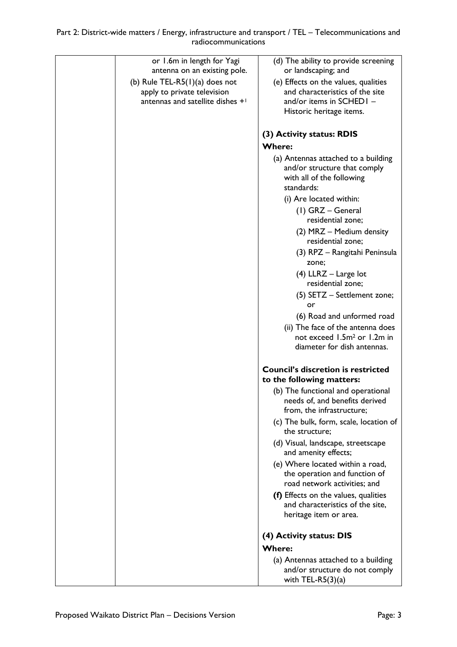| or 1.6m in length for Yagi<br>antenna on an existing pole.       | (d) The ability to provide screening<br>or landscaping; and                                                    |
|------------------------------------------------------------------|----------------------------------------------------------------------------------------------------------------|
| (b) Rule TEL-R5 $(I)(a)$ does not<br>apply to private television | (e) Effects on the values, qualities<br>and characteristics of the site                                        |
| antennas and satellite dishes + <sup>1</sup>                     | and/or items in SCHED1 -<br>Historic heritage items.                                                           |
|                                                                  | (3) Activity status: RDIS                                                                                      |
|                                                                  | <b>Where:</b>                                                                                                  |
|                                                                  | (a) Antennas attached to a building<br>and/or structure that comply<br>with all of the following<br>standards: |
|                                                                  | (i) Are located within:                                                                                        |
|                                                                  | (1) GRZ - General<br>residential zone;                                                                         |
|                                                                  | (2) MRZ - Medium density<br>residential zone;                                                                  |
|                                                                  | (3) RPZ - Rangitahi Peninsula<br>zone;                                                                         |
|                                                                  | $(4)$ LLRZ – Large lot<br>residential zone;                                                                    |
|                                                                  | (5) SETZ - Settlement zone;<br>or                                                                              |
|                                                                  | (6) Road and unformed road                                                                                     |
|                                                                  | (ii) The face of the antenna does<br>not exceed 1.5m <sup>2</sup> or 1.2m in                                   |
|                                                                  | diameter for dish antennas.                                                                                    |
|                                                                  | <b>Council's discretion is restricted</b><br>to the following matters:                                         |
|                                                                  | (b) The functional and operational<br>needs of, and benefits derived<br>from, the infrastructure;              |
|                                                                  | (c) The bulk, form, scale, location of<br>the structure;                                                       |
|                                                                  | (d) Visual, landscape, streetscape<br>and amenity effects;                                                     |
|                                                                  | (e) Where located within a road,<br>the operation and function of<br>road network activities; and              |
|                                                                  | (f) Effects on the values, qualities<br>and characteristics of the site,<br>heritage item or area.             |
|                                                                  | (4) Activity status: DIS                                                                                       |
|                                                                  | <b>Where:</b>                                                                                                  |
|                                                                  | (a) Antennas attached to a building<br>and/or structure do not comply<br>with TEL-R5 $(3)(a)$                  |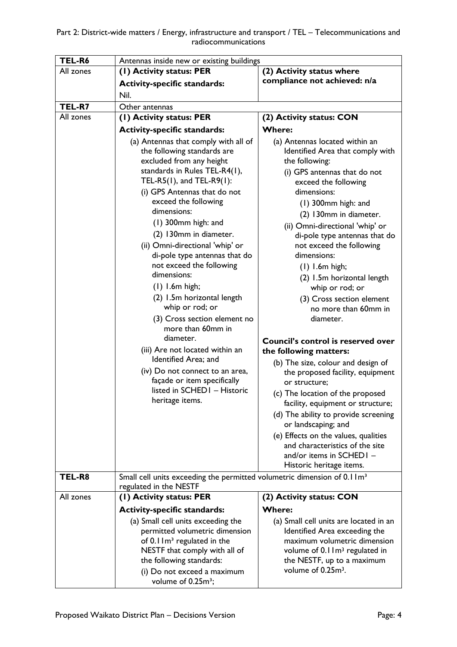| TEL-R6    | Antennas inside new or existing buildings                                            |                                                      |  |
|-----------|--------------------------------------------------------------------------------------|------------------------------------------------------|--|
| All zones | (1) Activity status: PER                                                             | (2) Activity status where                            |  |
|           | <b>Activity-specific standards:</b>                                                  | compliance not achieved: n/a                         |  |
|           | Nil.                                                                                 |                                                      |  |
| TEL-R7    | Other antennas                                                                       |                                                      |  |
| All zones | (I) Activity status: PER                                                             | (2) Activity status: CON                             |  |
|           | <b>Activity-specific standards:</b>                                                  | <b>Where:</b>                                        |  |
|           | (a) Antennas that comply with all of                                                 | (a) Antennas located within an                       |  |
|           | the following standards are                                                          | Identified Area that comply with                     |  |
|           | excluded from any height                                                             | the following:                                       |  |
|           | standards in Rules TEL-R4(1),                                                        | (i) GPS antennas that do not                         |  |
|           | TEL-R5(1), and TEL-R9(1):                                                            | exceed the following                                 |  |
|           | (i) GPS Antennas that do not                                                         | dimensions:                                          |  |
|           | exceed the following                                                                 | $(1)$ 300mm high: and                                |  |
|           | dimensions:                                                                          | (2) 130mm in diameter.                               |  |
|           | $(1)$ 300mm high: and                                                                | (ii) Omni-directional 'whip' or                      |  |
|           | (2) 130mm in diameter.                                                               | di-pole type antennas that do                        |  |
|           | (ii) Omni-directional 'whip' or                                                      | not exceed the following                             |  |
|           | di-pole type antennas that do                                                        | dimensions:                                          |  |
|           | not exceed the following<br>dimensions:                                              | $(1)$ 1.6m high;                                     |  |
|           |                                                                                      | (2) I.5m horizontal length                           |  |
|           | $(1)$ 1.6m high;                                                                     | whip or rod; or                                      |  |
|           | (2) I.5m horizontal length<br>whip or rod; or                                        | (3) Cross section element<br>no more than 60mm in    |  |
|           | (3) Cross section element no                                                         | diameter.                                            |  |
|           | more than 60mm in                                                                    |                                                      |  |
|           | diameter.                                                                            | Council's control is reserved over                   |  |
|           | (iii) Are not located within an                                                      | the following matters:                               |  |
|           | Identified Area; and                                                                 | (b) The size, colour and design of                   |  |
|           | (iv) Do not connect to an area,                                                      | the proposed facility, equipment                     |  |
|           | façade or item specifically                                                          | or structure:                                        |  |
|           | listed in SCHED1 - Historic                                                          | (c) The location of the proposed                     |  |
|           | heritage items.                                                                      | facility, equipment or structure;                    |  |
|           |                                                                                      | (d) The ability to provide screening                 |  |
|           |                                                                                      | or landscaping; and                                  |  |
|           |                                                                                      | (e) Effects on the values, qualities                 |  |
|           |                                                                                      | and characteristics of the site                      |  |
|           |                                                                                      | and/or items in SCHED1 -<br>Historic heritage items. |  |
| TEL-R8    | Small cell units exceeding the permitted volumetric dimension of 0.1 Im <sup>3</sup> |                                                      |  |
|           | regulated in the NESTF                                                               |                                                      |  |
| All zones | (1) Activity status: PER                                                             | (2) Activity status: CON                             |  |
|           | <b>Activity-specific standards:</b>                                                  | <b>Where:</b>                                        |  |
|           | (a) Small cell units exceeding the                                                   | (a) Small cell units are located in an               |  |
|           | permitted volumetric dimension                                                       | Identified Area exceeding the                        |  |
|           | of $0.1 \, \text{Im}^3$ regulated in the                                             | maximum volumetric dimension                         |  |
|           | NESTF that comply with all of                                                        | volume of 0.1 Im <sup>3</sup> regulated in           |  |
|           | the following standards:                                                             | the NESTF, up to a maximum                           |  |
|           | (i) Do not exceed a maximum                                                          | volume of 0.25m <sup>3</sup> .                       |  |
|           | volume of 0.25m <sup>3</sup> ;                                                       |                                                      |  |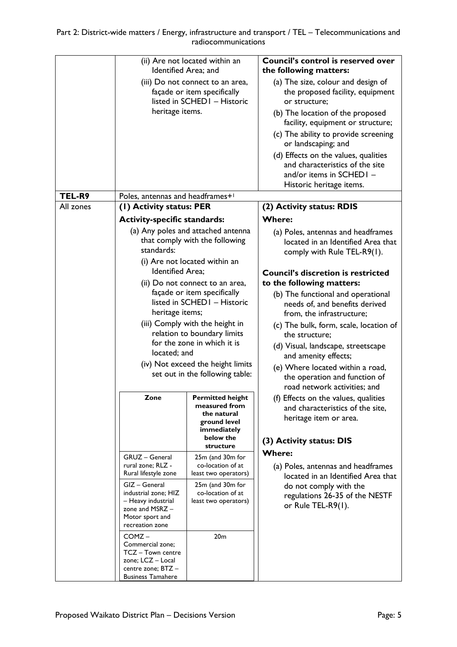|           | Identified Area; and<br>heritage items.                                                                                                                                                                                                                                            | (ii) Are not located within an<br>(iii) Do not connect to an area,<br>façade or item specifically<br>listed in SCHED1 - Historic                                                                                                                                                                                                                                                                                            | <b>Council's control is reserved over</b><br>the following matters:<br>(a) The size, colour and design of<br>the proposed facility, equipment<br>or structure;<br>(b) The location of the proposed<br>facility, equipment or structure;<br>(c) The ability to provide screening<br>or landscaping; and<br>(d) Effects on the values, qualities<br>and characteristics of the site<br>and/or items in SCHED1 -<br>Historic heritage items.                                                                                                    |
|-----------|------------------------------------------------------------------------------------------------------------------------------------------------------------------------------------------------------------------------------------------------------------------------------------|-----------------------------------------------------------------------------------------------------------------------------------------------------------------------------------------------------------------------------------------------------------------------------------------------------------------------------------------------------------------------------------------------------------------------------|----------------------------------------------------------------------------------------------------------------------------------------------------------------------------------------------------------------------------------------------------------------------------------------------------------------------------------------------------------------------------------------------------------------------------------------------------------------------------------------------------------------------------------------------|
| TEL-R9    | Poles, antennas and headframes+1                                                                                                                                                                                                                                                   |                                                                                                                                                                                                                                                                                                                                                                                                                             |                                                                                                                                                                                                                                                                                                                                                                                                                                                                                                                                              |
| All zones | (I) Activity status: PER                                                                                                                                                                                                                                                           |                                                                                                                                                                                                                                                                                                                                                                                                                             | (2) Activity status: RDIS                                                                                                                                                                                                                                                                                                                                                                                                                                                                                                                    |
|           | <b>Activity-specific standards:</b>                                                                                                                                                                                                                                                |                                                                                                                                                                                                                                                                                                                                                                                                                             | <b>Where:</b>                                                                                                                                                                                                                                                                                                                                                                                                                                                                                                                                |
|           | standards:                                                                                                                                                                                                                                                                         | (a) Any poles and attached antenna<br>that comply with the following                                                                                                                                                                                                                                                                                                                                                        | (a) Poles, antennas and headframes<br>located in an Identified Area that<br>comply with Rule TEL-R9(1).                                                                                                                                                                                                                                                                                                                                                                                                                                      |
|           | <b>Identified Area;</b><br>heritage items;<br>located; and<br>Zone                                                                                                                                                                                                                 | (i) Are not located within an<br>(ii) Do not connect to an area,<br>façade or item specifically<br>listed in SCHED1 - Historic<br>(iii) Comply with the height in<br>relation to boundary limits<br>for the zone in which it is<br>(iv) Not exceed the height limits<br>set out in the following table:<br><b>Permitted height</b><br>measured from<br>the natural<br>ground level<br>immediately<br>below the<br>structure | <b>Council's discretion is restricted</b><br>to the following matters:<br>(b) The functional and operational<br>needs of, and benefits derived<br>from, the infrastructure;<br>(c) The bulk, form, scale, location of<br>the structure;<br>(d) Visual, landscape, streetscape<br>and amenity effects;<br>(e) Where located within a road,<br>the operation and function of<br>road network activities; and<br>(f) Effects on the values, qualities<br>and characteristics of the site,<br>heritage item or area.<br>(3) Activity status: DIS |
|           | GRUZ - General<br>rural zone; RLZ -<br>Rural lifestyle zone<br>GIZ - General<br>industrial zone; HIZ<br>- Heavy industrial<br>zone and $MSRZ -$<br>Motor sport and<br>recreation zone<br>COMZ-<br>Commercial zone;<br>TCZ - Town centre<br>zone; LCZ - Local<br>centre zone; BTZ - | 25m (and 30m for<br>co-location of at<br>least two operators)<br>25m (and 30m for<br>co-location of at<br>least two operators)<br>20 <sub>m</sub>                                                                                                                                                                                                                                                                           | <b>Where:</b><br>(a) Poles, antennas and headframes<br>located in an Identified Area that<br>do not comply with the<br>regulations 26-35 of the NESTF<br>or Rule TEL-R9(1).                                                                                                                                                                                                                                                                                                                                                                  |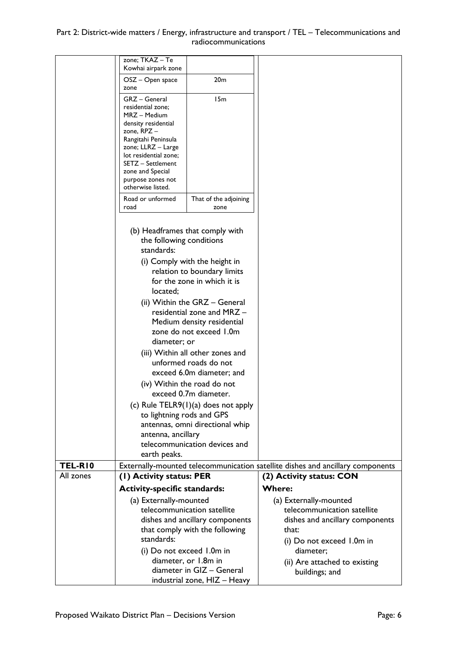## Part 2: District-wide matters / Energy, infrastructure and transport / TEL – Telecommunications and radiocommunications

|                | zone; TKAZ - Te<br>Kowhai airpark zone      |                                                           |                                                                                |
|----------------|---------------------------------------------|-----------------------------------------------------------|--------------------------------------------------------------------------------|
|                | OSZ – Open space                            | 20 <sub>m</sub>                                           |                                                                                |
|                | zone                                        |                                                           |                                                                                |
|                | GRZ - General                               | 15m                                                       |                                                                                |
|                | residential zone;<br>MRZ – Medium           |                                                           |                                                                                |
|                | density residential                         |                                                           |                                                                                |
|                | zone, RPZ -                                 |                                                           |                                                                                |
|                | Rangitahi Peninsula                         |                                                           |                                                                                |
|                | zone; LLRZ - Large<br>lot residential zone; |                                                           |                                                                                |
|                | SETZ - Settlement                           |                                                           |                                                                                |
|                | zone and Special                            |                                                           |                                                                                |
|                | purpose zones not<br>otherwise listed.      |                                                           |                                                                                |
|                | Road or unformed                            | That of the adjoining                                     |                                                                                |
|                | road                                        | zone                                                      |                                                                                |
|                |                                             |                                                           |                                                                                |
|                |                                             | (b) Headframes that comply with                           |                                                                                |
|                | the following conditions<br>standards:      |                                                           |                                                                                |
|                |                                             | (i) Comply with the height in                             |                                                                                |
|                |                                             | relation to boundary limits                               |                                                                                |
|                |                                             | for the zone in which it is                               |                                                                                |
|                | located;                                    |                                                           |                                                                                |
|                |                                             | (ii) Within the GRZ - General                             |                                                                                |
|                |                                             | residential zone and MRZ -                                |                                                                                |
|                |                                             | Medium density residential                                |                                                                                |
|                |                                             | zone do not exceed 1.0m                                   |                                                                                |
|                | diameter; or                                |                                                           |                                                                                |
|                |                                             | (iii) Within all other zones and<br>unformed roads do not |                                                                                |
|                |                                             | exceed 6.0m diameter; and                                 |                                                                                |
|                |                                             | (iv) Within the road do not                               |                                                                                |
|                |                                             | exceed 0.7m diameter.                                     |                                                                                |
|                |                                             | (c) Rule $TELR9(1)(a)$ does not apply                     |                                                                                |
|                | to lightning rods and GPS                   |                                                           |                                                                                |
|                |                                             | antennas, omni directional whip                           |                                                                                |
|                | antenna, ancillary                          |                                                           |                                                                                |
|                |                                             | telecommunication devices and                             |                                                                                |
|                | earth peaks.                                |                                                           |                                                                                |
| <b>TEL-R10</b> |                                             |                                                           | Externally-mounted telecommunication satellite dishes and ancillary components |
| All zones      | (1) Activity status: PER                    |                                                           | (2) Activity status: CON                                                       |
|                | <b>Activity-specific standards:</b>         |                                                           | <b>Where:</b>                                                                  |
|                | (a) Externally-mounted                      |                                                           | (a) Externally-mounted                                                         |
|                |                                             | telecommunication satellite                               | telecommunication satellite                                                    |
|                |                                             | dishes and ancillary components                           | dishes and ancillary components                                                |
|                | standards:                                  | that comply with the following                            | that:                                                                          |
|                |                                             |                                                           | (i) Do not exceed 1.0m in                                                      |
|                | (i) Do not exceed 1.0m in                   |                                                           | diameter;                                                                      |
|                |                                             | diameter, or 1.8m in<br>diameter in GIZ - General         | (ii) Are attached to existing                                                  |
|                |                                             | industrial zone, HIZ - Heavy                              | buildings; and                                                                 |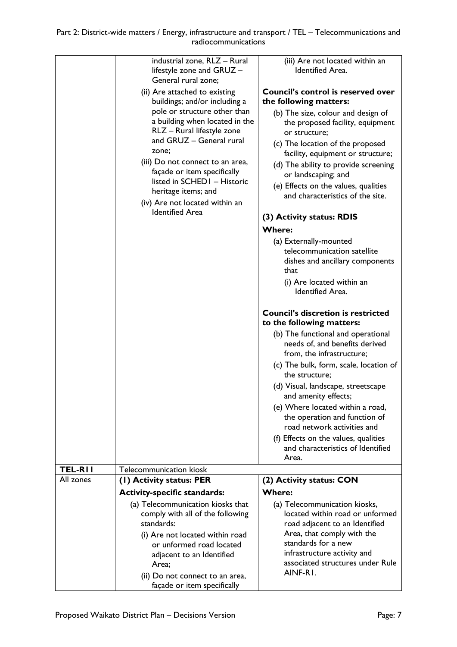|           | lifestyle zone and GRUZ -<br>General rural zone;<br>(ii) Are attached to existing<br>buildings; and/or including a<br>pole or structure other than<br>a building when located in the<br>RLZ - Rural lifestyle zone<br>and GRUZ - General rural<br>zone;<br>(iii) Do not connect to an area,<br>façade or item specifically<br>listed in SCHED1 - Historic<br>heritage items; and<br>(iv) Are not located within an<br><b>Identified Area</b> | (iii) Are not located within an<br><b>Identified Area.</b><br><b>Council's control is reserved over</b><br>the following matters:<br>(b) The size, colour and design of<br>the proposed facility, equipment<br>or structure:<br>(c) The location of the proposed<br>facility, equipment or structure;<br>(d) The ability to provide screening<br>or landscaping; and<br>(e) Effects on the values, qualities<br>and characteristics of the site.<br>(3) Activity status: RDIS<br><b>Where:</b><br>(a) Externally-mounted<br>telecommunication satellite<br>dishes and ancillary components<br>that<br>(i) Are located within an<br><b>Identified Area.</b><br><b>Council's discretion is restricted</b><br>to the following matters:<br>(b) The functional and operational<br>needs of, and benefits derived<br>from, the infrastructure;<br>(c) The bulk, form, scale, location of<br>the structure;<br>(d) Visual, landscape, streetscape<br>and amenity effects;<br>(e) Where located within a road,<br>the operation and function of<br>road network activities and<br>(f) Effects on the values, qualities<br>and characteristics of Identified<br>Area. |
|-----------|----------------------------------------------------------------------------------------------------------------------------------------------------------------------------------------------------------------------------------------------------------------------------------------------------------------------------------------------------------------------------------------------------------------------------------------------|---------------------------------------------------------------------------------------------------------------------------------------------------------------------------------------------------------------------------------------------------------------------------------------------------------------------------------------------------------------------------------------------------------------------------------------------------------------------------------------------------------------------------------------------------------------------------------------------------------------------------------------------------------------------------------------------------------------------------------------------------------------------------------------------------------------------------------------------------------------------------------------------------------------------------------------------------------------------------------------------------------------------------------------------------------------------------------------------------------------------------------------------------------------|
|           | Telecommunication kiosk                                                                                                                                                                                                                                                                                                                                                                                                                      |                                                                                                                                                                                                                                                                                                                                                                                                                                                                                                                                                                                                                                                                                                                                                                                                                                                                                                                                                                                                                                                                                                                                                               |
| TEL-RII   |                                                                                                                                                                                                                                                                                                                                                                                                                                              |                                                                                                                                                                                                                                                                                                                                                                                                                                                                                                                                                                                                                                                                                                                                                                                                                                                                                                                                                                                                                                                                                                                                                               |
| All zones | (1) Activity status: PER                                                                                                                                                                                                                                                                                                                                                                                                                     | (2) Activity status: CON                                                                                                                                                                                                                                                                                                                                                                                                                                                                                                                                                                                                                                                                                                                                                                                                                                                                                                                                                                                                                                                                                                                                      |
|           | <b>Activity-specific standards:</b><br>(a) Telecommunication kiosks that                                                                                                                                                                                                                                                                                                                                                                     | <b>Where:</b><br>(a) Telecommunication kiosks,                                                                                                                                                                                                                                                                                                                                                                                                                                                                                                                                                                                                                                                                                                                                                                                                                                                                                                                                                                                                                                                                                                                |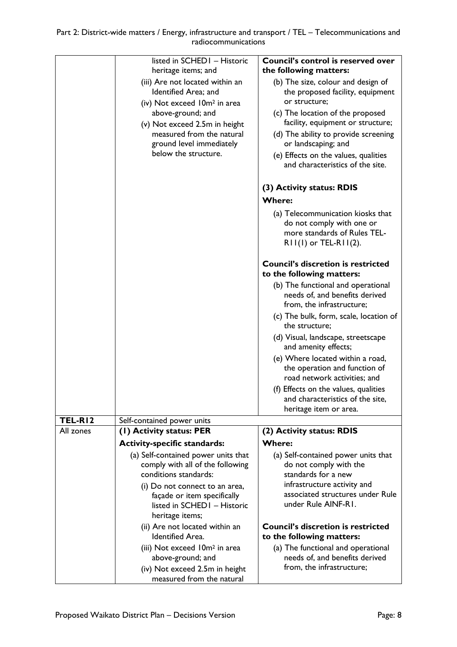|           | listed in SCHED1 - Historic<br>heritage items; and                                                                                                                                                                                         | Council's control is reserved over<br>the following matters:                                                                                                                                                                                                                                                |
|-----------|--------------------------------------------------------------------------------------------------------------------------------------------------------------------------------------------------------------------------------------------|-------------------------------------------------------------------------------------------------------------------------------------------------------------------------------------------------------------------------------------------------------------------------------------------------------------|
|           | (iii) Are not located within an<br>Identified Area; and<br>(iv) Not exceed 10m <sup>2</sup> in area<br>above-ground; and<br>(v) Not exceed 2.5m in height<br>measured from the natural<br>ground level immediately<br>below the structure. | (b) The size, colour and design of<br>the proposed facility, equipment<br>or structure;<br>(c) The location of the proposed<br>facility, equipment or structure;<br>(d) The ability to provide screening<br>or landscaping; and<br>(e) Effects on the values, qualities<br>and characteristics of the site. |
|           |                                                                                                                                                                                                                                            | (3) Activity status: RDIS                                                                                                                                                                                                                                                                                   |
|           |                                                                                                                                                                                                                                            | <b>Where:</b>                                                                                                                                                                                                                                                                                               |
|           |                                                                                                                                                                                                                                            | (a) Telecommunication kiosks that<br>do not comply with one or<br>more standards of Rules TEL-<br>$RII(I)$ or TEL-RII(2).                                                                                                                                                                                   |
|           |                                                                                                                                                                                                                                            | <b>Council's discretion is restricted</b><br>to the following matters:                                                                                                                                                                                                                                      |
|           |                                                                                                                                                                                                                                            | (b) The functional and operational<br>needs of, and benefits derived<br>from, the infrastructure;                                                                                                                                                                                                           |
|           |                                                                                                                                                                                                                                            | (c) The bulk, form, scale, location of<br>the structure;                                                                                                                                                                                                                                                    |
|           |                                                                                                                                                                                                                                            | (d) Visual, landscape, streetscape<br>and amenity effects;                                                                                                                                                                                                                                                  |
|           |                                                                                                                                                                                                                                            | (e) Where located within a road,<br>the operation and function of<br>road network activities; and                                                                                                                                                                                                           |
|           |                                                                                                                                                                                                                                            | (f) Effects on the values, qualities<br>and characteristics of the site,<br>heritage item or area.                                                                                                                                                                                                          |
| TEL-RI2   | Self-contained power units                                                                                                                                                                                                                 |                                                                                                                                                                                                                                                                                                             |
| All zones | (1) Activity status: PER                                                                                                                                                                                                                   | (2) Activity status: RDIS                                                                                                                                                                                                                                                                                   |
|           | <b>Activity-specific standards:</b>                                                                                                                                                                                                        | <b>Where:</b>                                                                                                                                                                                                                                                                                               |
|           | (a) Self-contained power units that<br>comply with all of the following<br>conditions standards:<br>(i) Do not connect to an area,<br>façade or item specifically<br>listed in SCHED1 - Historic<br>heritage items;                        | (a) Self-contained power units that<br>do not comply with the<br>standards for a new<br>infrastructure activity and<br>associated structures under Rule<br>under Rule AINF-RI.                                                                                                                              |
|           | (ii) Are not located within an                                                                                                                                                                                                             | <b>Council's discretion is restricted</b>                                                                                                                                                                                                                                                                   |
|           | <b>Identified Area.</b>                                                                                                                                                                                                                    | to the following matters:                                                                                                                                                                                                                                                                                   |
|           | (iii) Not exceed 10m <sup>2</sup> in area<br>above-ground; and                                                                                                                                                                             | (a) The functional and operational<br>needs of, and benefits derived                                                                                                                                                                                                                                        |
|           | (iv) Not exceed 2.5m in height                                                                                                                                                                                                             | from, the infrastructure;                                                                                                                                                                                                                                                                                   |
|           | measured from the natural                                                                                                                                                                                                                  |                                                                                                                                                                                                                                                                                                             |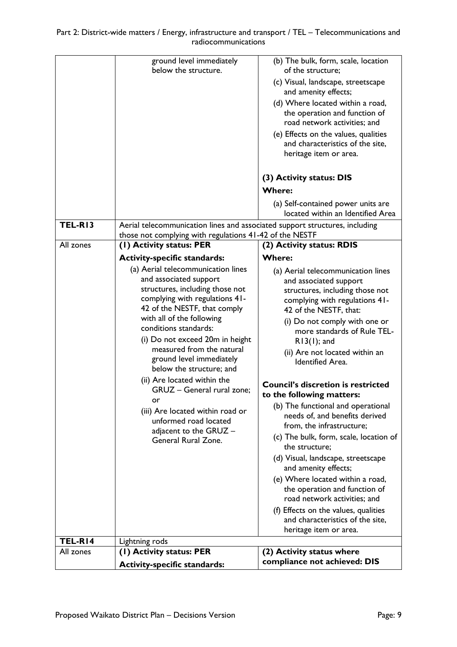|           | ground level immediately<br>below the structure.                                                                                                                                                                                                                                                                                                                                                                                                                                                                                 | (b) The bulk, form, scale, location<br>of the structure;<br>(c) Visual, landscape, streetscape<br>and amenity effects;<br>(d) Where located within a road,<br>the operation and function of<br>road network activities; and<br>(e) Effects on the values, qualities<br>and characteristics of the site,<br>heritage item or area.                                                                                                                                                                                                                                                                                                                                                                                                                                                                                              |
|-----------|----------------------------------------------------------------------------------------------------------------------------------------------------------------------------------------------------------------------------------------------------------------------------------------------------------------------------------------------------------------------------------------------------------------------------------------------------------------------------------------------------------------------------------|--------------------------------------------------------------------------------------------------------------------------------------------------------------------------------------------------------------------------------------------------------------------------------------------------------------------------------------------------------------------------------------------------------------------------------------------------------------------------------------------------------------------------------------------------------------------------------------------------------------------------------------------------------------------------------------------------------------------------------------------------------------------------------------------------------------------------------|
|           |                                                                                                                                                                                                                                                                                                                                                                                                                                                                                                                                  | (3) Activity status: DIS<br><b>Where:</b>                                                                                                                                                                                                                                                                                                                                                                                                                                                                                                                                                                                                                                                                                                                                                                                      |
|           |                                                                                                                                                                                                                                                                                                                                                                                                                                                                                                                                  | (a) Self-contained power units are<br>located within an Identified Area                                                                                                                                                                                                                                                                                                                                                                                                                                                                                                                                                                                                                                                                                                                                                        |
| TEL-RI3   | Aerial telecommunication lines and associated support structures, including<br>those not complying with regulations 41-42 of the NESTF                                                                                                                                                                                                                                                                                                                                                                                           |                                                                                                                                                                                                                                                                                                                                                                                                                                                                                                                                                                                                                                                                                                                                                                                                                                |
| All zones | (1) Activity status: PER                                                                                                                                                                                                                                                                                                                                                                                                                                                                                                         | (2) Activity status: RDIS                                                                                                                                                                                                                                                                                                                                                                                                                                                                                                                                                                                                                                                                                                                                                                                                      |
|           | <b>Activity-specific standards:</b>                                                                                                                                                                                                                                                                                                                                                                                                                                                                                              | <b>Where:</b>                                                                                                                                                                                                                                                                                                                                                                                                                                                                                                                                                                                                                                                                                                                                                                                                                  |
|           | (a) Aerial telecommunication lines<br>and associated support<br>structures, including those not<br>complying with regulations 41-<br>42 of the NESTF, that comply<br>with all of the following<br>conditions standards:<br>(i) Do not exceed 20m in height<br>measured from the natural<br>ground level immediately<br>below the structure; and<br>(ii) Are located within the<br>GRUZ - General rural zone;<br>or<br>(iii) Are located within road or<br>unformed road located<br>adjacent to the GRUZ -<br>General Rural Zone. | (a) Aerial telecommunication lines<br>and associated support<br>structures, including those not<br>complying with regulations 41-<br>42 of the NESTF, that:<br>(i) Do not comply with one or<br>more standards of Rule TEL-<br>$R13(1)$ ; and<br>(ii) Are not located within an<br><b>Identified Area.</b><br><b>Council's discretion is restricted</b><br>to the following matters:<br>(b) The functional and operational<br>needs of, and benefits derived<br>from, the infrastructure;<br>(c) The bulk, form, scale, location of<br>the structure;<br>(d) Visual, landscape, streetscape<br>and amenity effects;<br>(e) Where located within a road,<br>the operation and function of<br>road network activities; and<br>(f) Effects on the values, qualities<br>and characteristics of the site,<br>heritage item or area. |
| TEL-RI4   | Lightning rods                                                                                                                                                                                                                                                                                                                                                                                                                                                                                                                   |                                                                                                                                                                                                                                                                                                                                                                                                                                                                                                                                                                                                                                                                                                                                                                                                                                |
| All zones | (1) Activity status: PER<br><b>Activity-specific standards:</b>                                                                                                                                                                                                                                                                                                                                                                                                                                                                  | (2) Activity status where<br>compliance not achieved: DIS                                                                                                                                                                                                                                                                                                                                                                                                                                                                                                                                                                                                                                                                                                                                                                      |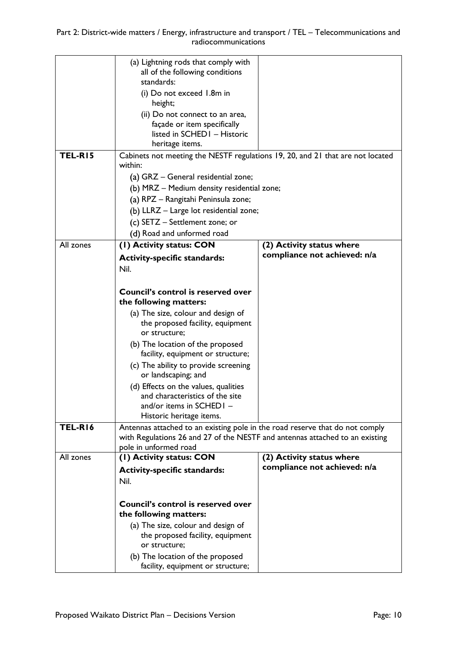|           | (a) Lightning rods that comply with<br>all of the following conditions         |                                                           |
|-----------|--------------------------------------------------------------------------------|-----------------------------------------------------------|
|           | standards:                                                                     |                                                           |
|           | (i) Do not exceed 1.8m in                                                      |                                                           |
|           | height;                                                                        |                                                           |
|           | (ii) Do not connect to an area,                                                |                                                           |
|           | façade or item specifically                                                    |                                                           |
|           | listed in SCHED1 - Historic                                                    |                                                           |
|           | heritage items.                                                                |                                                           |
| TEL-RI5   | Cabinets not meeting the NESTF regulations 19, 20, and 21 that are not located |                                                           |
|           | within:                                                                        |                                                           |
|           | (a) GRZ - General residential zone;                                            |                                                           |
|           | (b) MRZ - Medium density residential zone;                                     |                                                           |
|           | (a) RPZ - Rangitahi Peninsula zone;                                            |                                                           |
|           | (b) LLRZ - Large lot residential zone;                                         |                                                           |
|           | (c) SETZ - Settlement zone; or                                                 |                                                           |
|           | (d) Road and unformed road                                                     |                                                           |
| All zones | (I) Activity status: CON                                                       | (2) Activity status where                                 |
|           | <b>Activity-specific standards:</b>                                            | compliance not achieved: n/a                              |
|           | Nil.                                                                           |                                                           |
|           |                                                                                |                                                           |
|           | Council's control is reserved over                                             |                                                           |
|           | the following matters:                                                         |                                                           |
|           | (a) The size, colour and design of                                             |                                                           |
|           | the proposed facility, equipment                                               |                                                           |
|           | or structure;                                                                  |                                                           |
|           | (b) The location of the proposed                                               |                                                           |
|           | facility, equipment or structure;                                              |                                                           |
|           | (c) The ability to provide screening                                           |                                                           |
|           | or landscaping; and                                                            |                                                           |
|           | (d) Effects on the values, qualities                                           |                                                           |
|           | and characteristics of the site                                                |                                                           |
|           | and/or items in $SCHEDI -$                                                     |                                                           |
|           | Historic heritage items.                                                       |                                                           |
| TEL-RI6   | Antennas attached to an existing pole in the road reserve that do not comply   |                                                           |
|           | with Regulations 26 and 27 of the NESTF and antennas attached to an existing   |                                                           |
|           | pole in unformed road                                                          |                                                           |
| All zones | (I) Activity status: CON                                                       | (2) Activity status where<br>compliance not achieved: n/a |
|           | <b>Activity-specific standards:</b>                                            |                                                           |
|           | Nil.                                                                           |                                                           |
|           |                                                                                |                                                           |
|           | Council's control is reserved over                                             |                                                           |
|           | the following matters:                                                         |                                                           |
|           | (a) The size, colour and design of                                             |                                                           |
|           | the proposed facility, equipment                                               |                                                           |
|           | or structure;                                                                  |                                                           |
|           | (b) The location of the proposed                                               |                                                           |
|           | facility, equipment or structure;                                              |                                                           |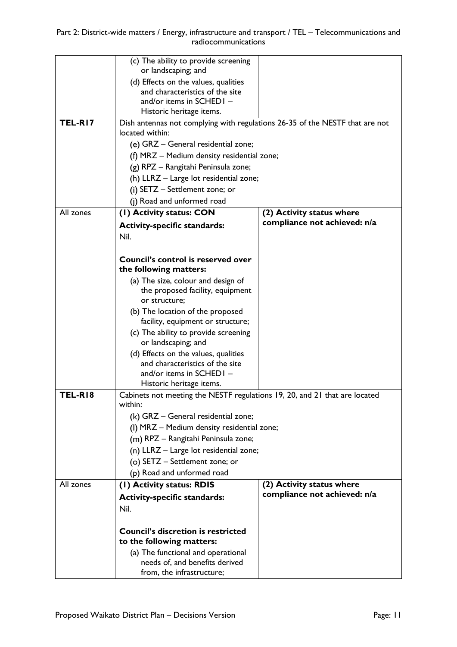|           | (c) The ability to provide screening                                         |                              |
|-----------|------------------------------------------------------------------------------|------------------------------|
|           | or landscaping; and                                                          |                              |
|           | (d) Effects on the values, qualities<br>and characteristics of the site      |                              |
|           | and/or items in SCHED1 -                                                     |                              |
|           | Historic heritage items.                                                     |                              |
| TEL-RI7   | Dish antennas not complying with regulations 26-35 of the NESTF that are not |                              |
|           | located within:                                                              |                              |
|           | (e) GRZ - General residential zone;                                          |                              |
|           | (f) MRZ - Medium density residential zone;                                   |                              |
|           | (g) RPZ - Rangitahi Peninsula zone;                                          |                              |
|           | (h) LLRZ - Large lot residential zone;                                       |                              |
|           | (i) SETZ - Settlement zone; or                                               |                              |
|           | (j) Road and unformed road                                                   |                              |
| All zones | (I) Activity status: CON                                                     | (2) Activity status where    |
|           | <b>Activity-specific standards:</b>                                          | compliance not achieved: n/a |
|           | Nil.                                                                         |                              |
|           |                                                                              |                              |
|           | Council's control is reserved over                                           |                              |
|           | the following matters:                                                       |                              |
|           | (a) The size, colour and design of                                           |                              |
|           | the proposed facility, equipment                                             |                              |
|           | or structure;                                                                |                              |
|           | (b) The location of the proposed                                             |                              |
|           | facility, equipment or structure;                                            |                              |
|           | (c) The ability to provide screening                                         |                              |
|           | or landscaping; and                                                          |                              |
|           | (d) Effects on the values, qualities                                         |                              |
|           | and characteristics of the site<br>and/or items in SCHED1 -                  |                              |
|           | Historic heritage items.                                                     |                              |
| TEL-RI8   | Cabinets not meeting the NESTF regulations 19, 20, and 21 that are located   |                              |
|           | within:                                                                      |                              |
|           | (k) GRZ - General residential zone;                                          |                              |
|           | (I) MRZ - Medium density residential zone;                                   |                              |
|           | (m) RPZ - Rangitahi Peninsula zone;                                          |                              |
|           | (n) LLRZ - Large lot residential zone;                                       |                              |
|           | (o) SETZ - Settlement zone; or                                               |                              |
|           | (p) Road and unformed road                                                   |                              |
| All zones | (I) Activity status: RDIS                                                    | (2) Activity status where    |
|           | <b>Activity-specific standards:</b>                                          | compliance not achieved: n/a |
|           | Nil.                                                                         |                              |
|           |                                                                              |                              |
|           | <b>Council's discretion is restricted</b>                                    |                              |
|           | to the following matters:                                                    |                              |
|           | (a) The functional and operational                                           |                              |
|           | needs of, and benefits derived                                               |                              |
|           | from, the infrastructure;                                                    |                              |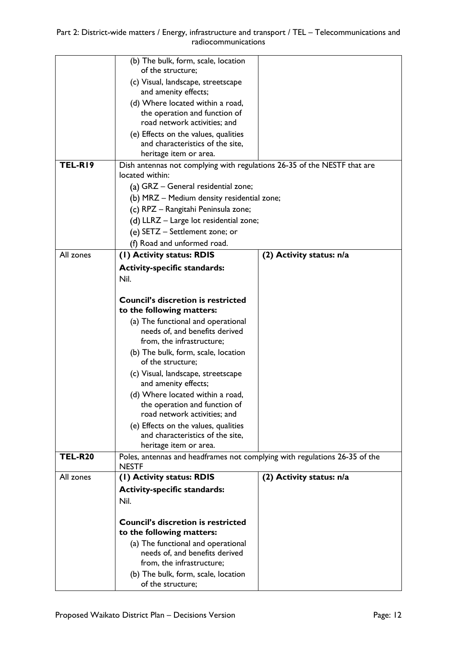Part 2: District-wide matters / Energy, infrastructure and transport / TEL – Telecommunications and radiocommunications

|                | (b) The bulk, form, scale, location<br>of the structure;                                    |                          |
|----------------|---------------------------------------------------------------------------------------------|--------------------------|
|                | (c) Visual, landscape, streetscape                                                          |                          |
|                | and amenity effects;                                                                        |                          |
|                | (d) Where located within a road,                                                            |                          |
|                | the operation and function of<br>road network activities; and                               |                          |
|                | (e) Effects on the values, qualities                                                        |                          |
|                | and characteristics of the site,                                                            |                          |
|                | heritage item or area.                                                                      |                          |
| TEL-RI9        | Dish antennas not complying with regulations 26-35 of the NESTF that are<br>located within: |                          |
|                | (a) GRZ - General residential zone;                                                         |                          |
|                | (b) MRZ - Medium density residential zone;                                                  |                          |
|                | (c) RPZ - Rangitahi Peninsula zone;                                                         |                          |
|                | (d) LLRZ - Large lot residential zone;                                                      |                          |
|                | (e) SETZ - Settlement zone; or                                                              |                          |
|                | (f) Road and unformed road.                                                                 |                          |
| All zones      | (I) Activity status: RDIS                                                                   | (2) Activity status: n/a |
|                | <b>Activity-specific standards:</b>                                                         |                          |
|                | Nil.                                                                                        |                          |
|                | <b>Council's discretion is restricted</b>                                                   |                          |
|                | to the following matters:                                                                   |                          |
|                | (a) The functional and operational                                                          |                          |
|                | needs of, and benefits derived                                                              |                          |
|                | from, the infrastructure;<br>(b) The bulk, form, scale, location                            |                          |
|                | of the structure;                                                                           |                          |
|                | (c) Visual, landscape, streetscape<br>and amenity effects;                                  |                          |
|                | (d) Where located within a road,                                                            |                          |
|                | the operation and function of                                                               |                          |
|                | road network activities; and<br>(e) Effects on the values, qualities                        |                          |
|                | and characteristics of the site,                                                            |                          |
|                | heritage item or area.                                                                      |                          |
| <b>TEL-R20</b> | Poles, antennas and headframes not complying with regulations 26-35 of the<br><b>NESTF</b>  |                          |
| All zones      | (I) Activity status: RDIS                                                                   | (2) Activity status: n/a |
|                | <b>Activity-specific standards:</b>                                                         |                          |
|                | Nil.                                                                                        |                          |
|                | <b>Council's discretion is restricted</b>                                                   |                          |
|                | to the following matters:                                                                   |                          |
|                | (a) The functional and operational                                                          |                          |
|                | needs of, and benefits derived                                                              |                          |
|                | from, the infrastructure;                                                                   |                          |
|                | (b) The bulk, form, scale, location<br>of the structure;                                    |                          |